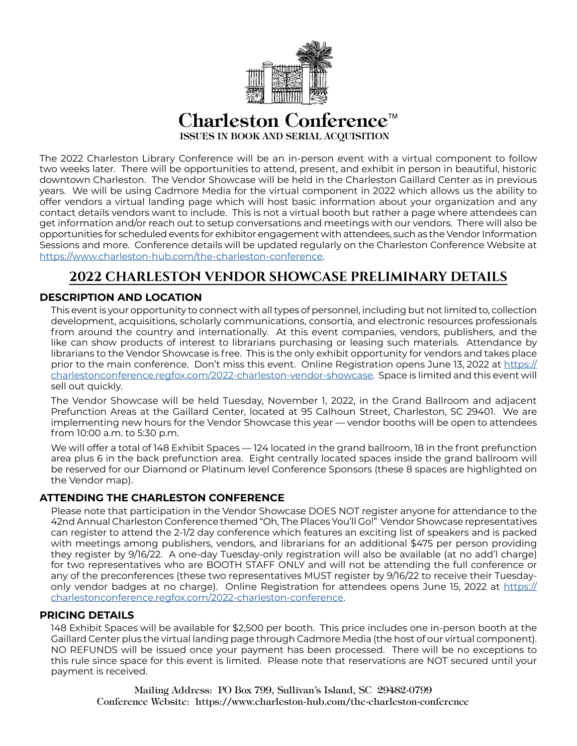

# Charleston Conference<sup> $M$ </sup> ISSUES IN BOOK AND SERIAL ACQUISITION

The 2022 Charleston Library Conference will be an in-person event with a virtual component to follow two weeks later. There will be opportunities to attend, present, and exhibit in person in beautiful, historic downtown Charleston. The Vendor Showcase will be held in the Charleston Gaillard Center as in previous years. We will be using Cadmore Media for the virtual component in 2022 which allows us the ability to offer vendors a virtual landing page which will host basic information about your organization and any contact details vendors want to include. This is not a virtual booth but rather a page where attendees can get information and/or reach out to setup conversations and meetings with our vendors. There will also be opportunities for scheduled events for exhibitor engagement with attendees, such as the Vendor Information Sessions and more. Conference details will be updated regularly on the Charleston Conference Website at <https://www.charleston-hub.com/the-charleston-conference>.

# **2022 CHARLESTON VENDOR SHOWCASE PRELIMINARY DETAILS**

# **DESCRIPTION AND LOCATION**

This event is your opportunity to connect with all types of personnel, including but not limited to, collection development, acquisitions, scholarly communications, consortia, and electronic resources professionals from around the country and internationally. At this event companies, vendors, publishers, and the like can show products of interest to librarians purchasing or leasing such materials. Attendance by librarians to the Vendor Showcase is free. This is the only exhibit opportunity for vendors and takes place prior to the main conference. Don't miss this event. Online Registration opens June 13, 2022 at [https://](https://charlestonconference.regfox.com/2022-charleston-vendor-showcase) [charlestonconference.regfox.com/2022-charleston-vendor-showcase.](https://charlestonconference.regfox.com/2022-charleston-vendor-showcase) Space is limited and this event will sell out quickly.

The Vendor Showcase will be held Tuesday, November 1, 2022, in the Grand Ballroom and adjacent Prefunction Areas at the Gaillard Center, located at 95 Calhoun Street, Charleston, SC 29401. We are implementing new hours for the Vendor Showcase this year — vendor booths will be open to attendees from 10:00 a.m. to 5:30 p.m.

We will offer a total of 148 Exhibit Spaces — 124 located in the grand ballroom, 18 in the front prefunction area plus 6 in the back prefunction area. Eight centrally located spaces inside the grand ballroom will be reserved for our Diamond or Platinum level Conference Sponsors (these 8 spaces are highlighted on the Vendor map).

## **ATTENDING THE CHARLESTON CONFERENCE**

Please note that participation in the Vendor Showcase DOES NOT register anyone for attendance to the 42nd Annual Charleston Conference themed "Oh, The Places You'll Go!" Vendor Showcase representatives can register to attend the 2-1/2 day conference which features an exciting list of speakers and is packed with meetings among publishers, vendors, and librarians for an additional \$475 per person providing they register by 9/16/22. A one-day Tuesday-only registration will also be available (at no add'l charge) for two representatives who are BOOTH STAFF ONLY and will not be attending the full conference or any of the preconferences (these two representatives MUST register by 9/16/22 to receive their Tuesdayonly vendor badges at no charge). Online Registration for attendees opens June 15, 2022 at [https://](https://charlestonconference.regfox.com/2022-charleston-conference) [charlestonconference.regfox.com/2022-charleston-conference.](https://charlestonconference.regfox.com/2022-charleston-conference)

## **PRICING DETAILS**

148 Exhibit Spaces will be available for \$2,500 per booth. This price includes one in-person booth at the Gaillard Center plus the virtual landing page through Cadmore Media (the host of our virtual component). NO REFUNDS will be issued once your payment has been processed. There will be no exceptions to this rule since space for this event is limited. Please note that reservations are NOT secured until your payment is received.

Mailing Address: PO Box 799, Sullivan's Island, SC 29482-0799 Conference Website: https://www.charleston-hub.com/the-charleston-conference